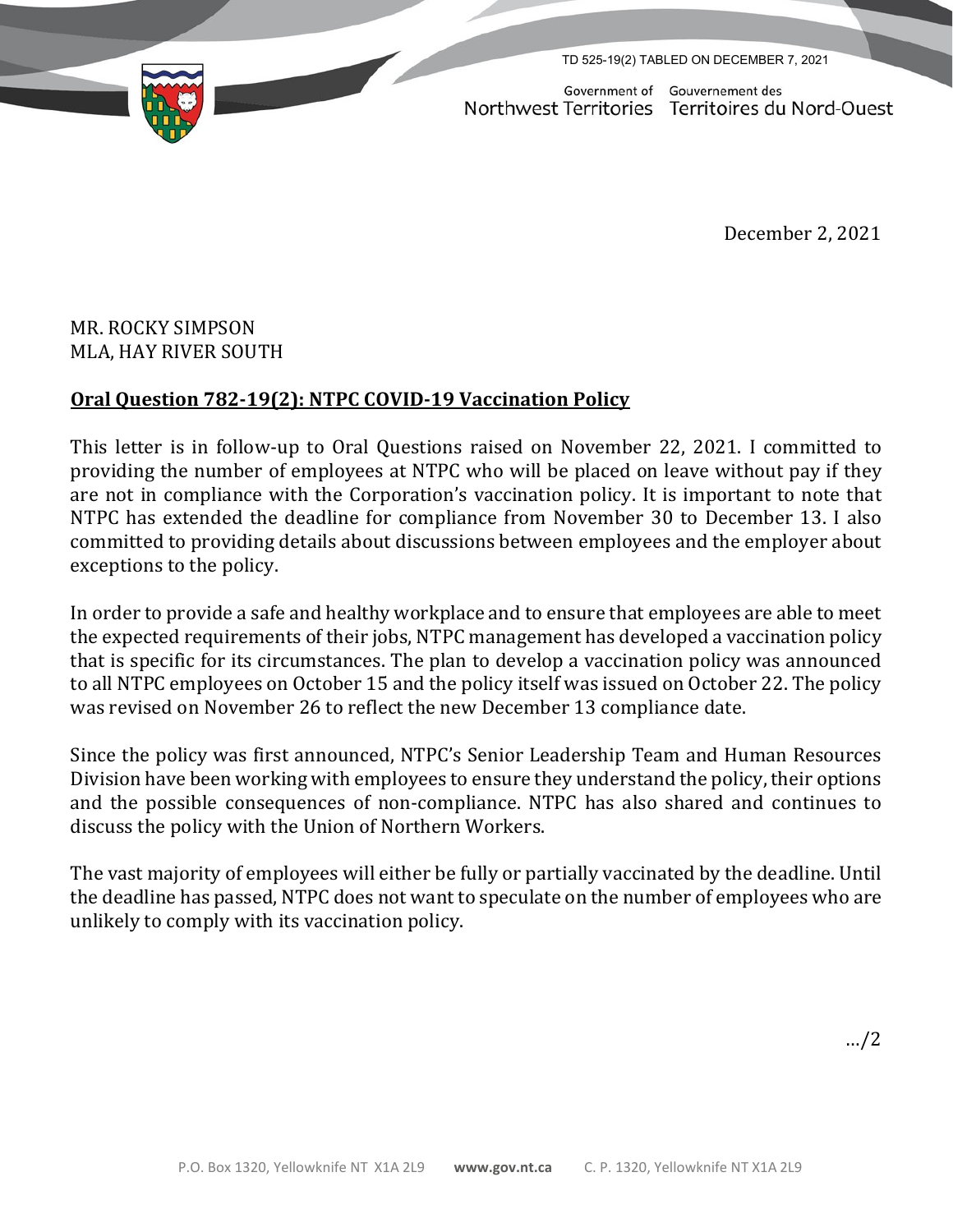

Government of Gouvernement des Northwest Territories Territoires du Nord-Ouest

December 2, 2021

## MR. ROCKY SIMPSON MLA, HAY RIVER SOUTH

## **Oral Question 782-19(2): NTPC COVID-19 Vaccination Policy**

This letter is in follow-up to Oral Questions raised on November 22, 2021. I committed to providing the number of employees at NTPC who will be placed on leave without pay if they are not in compliance with the Corporation's vaccination policy. It is important to note that NTPC has extended the deadline for compliance from November 30 to December 13. I also committed to providing details about discussions between employees and the employer about exceptions to the policy.

In order to provide a safe and healthy workplace and to ensure that employees are able to meet the expected requirements of their jobs, NTPC management has developed a vaccination policy that is specific for its circumstances. The plan to develop a vaccination policy was announced to all NTPC employees on October 15 and the policy itself was issued on October 22. The policy was revised on November 26 to reflect the new December 13 compliance date.

Since the policy was first announced, NTPC's Senior Leadership Team and Human Resources Division have been working with employees to ensure they understand the policy, their options and the possible consequences of non-compliance. NTPC has also shared and continues to discuss the policy with the Union of Northern Workers.

The vast majority of employees will either be fully or partially vaccinated by the deadline. Until the deadline has passed, NTPC does not want to speculate on the number of employees who are unlikely to comply with its vaccination policy.

…/2